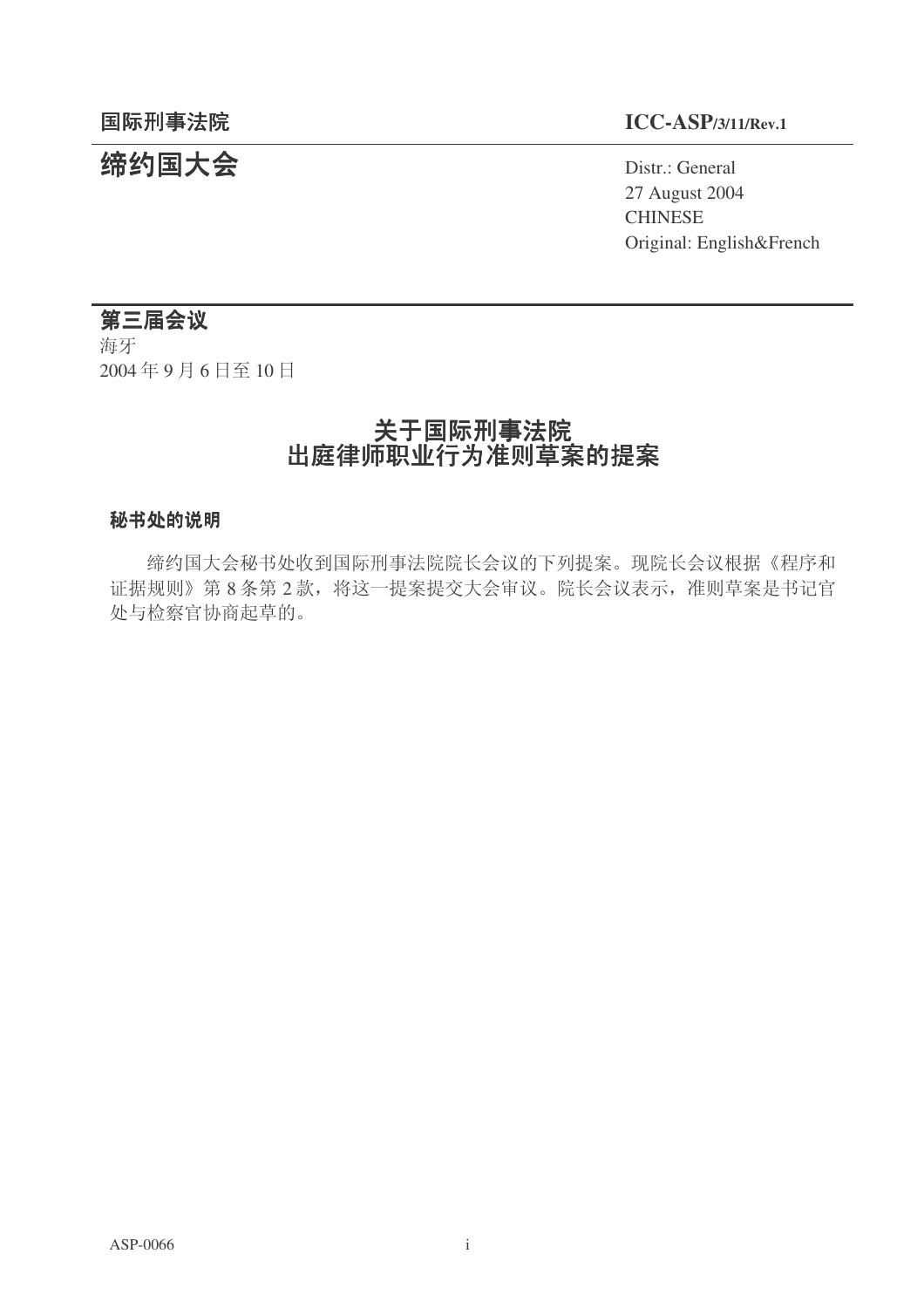# 结约国大会 **The Contract of Second Act of Second** Distr.: General

# **国际刑事法院**<br>ⅠCC-ASP/3/11/Rev.1

27 August 2004 **CHINESE** Original: English&French

# 第三届会议

海牙 2004年9月6日至10日

# 关于国际刑事法院 出庭律师职业行为准则草案的提案

#### 秘书处的说明

缔约国大会秘书处收到国际刑事法院院长会议的下列提案。现院长会议根据《程序和 证据规则》第8条第2款,将这一提案提交大会审议。院长会议表示,准则草案是书记官 处与检察官协商起草的。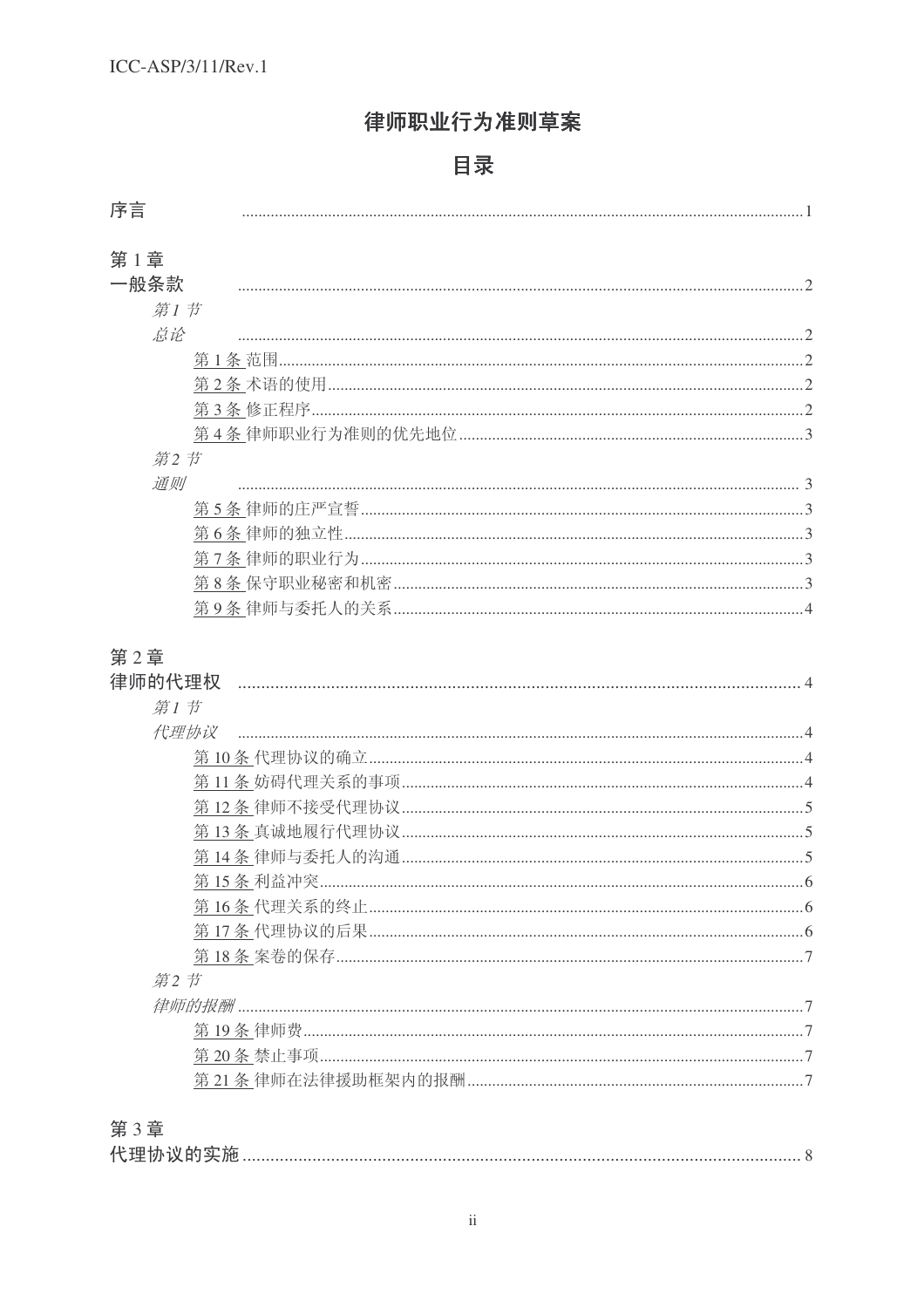# 律师职业行为准则草案

# 目录

# 第1章

| 一般条款 |  |
|------|--|
| 第1节  |  |
| 总论   |  |
|      |  |
|      |  |
|      |  |
|      |  |
| 第2节  |  |
| 通则   |  |
|      |  |
|      |  |
|      |  |
|      |  |
|      |  |

# 第2章

| 律师的代理权 |
|--------|
| 第1节    |
| 代理协议   |
|        |
|        |
|        |
|        |
|        |
|        |
|        |
|        |
|        |
| 第2节    |
|        |
|        |
|        |
|        |
|        |
| 第3章    |
|        |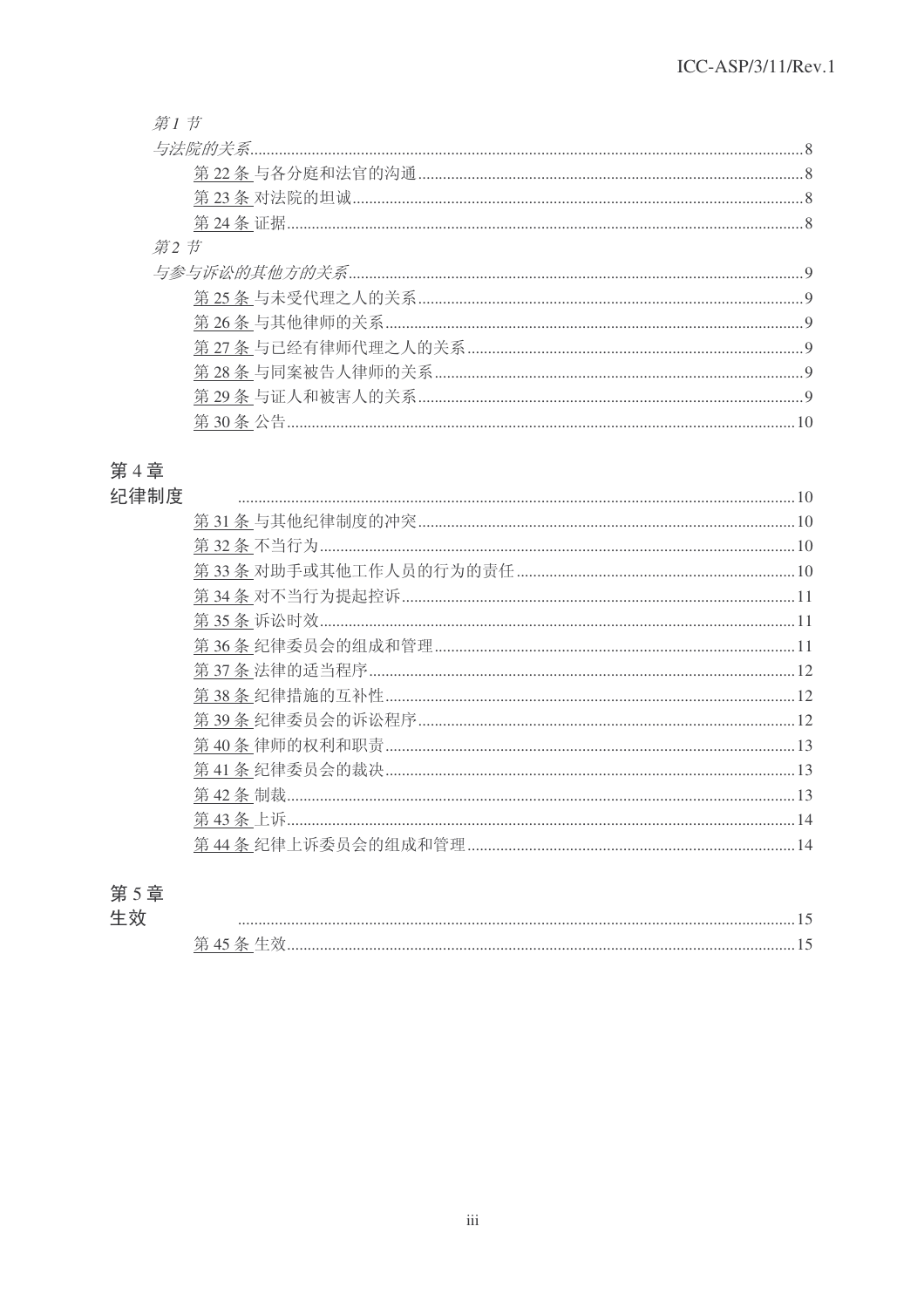#### 第1节

# 第4章

# 纪律制度

| $10$ |  |
|------|--|
|      |  |
|      |  |
|      |  |
|      |  |
|      |  |
|      |  |
|      |  |
|      |  |
|      |  |
|      |  |
|      |  |
|      |  |
|      |  |
|      |  |
|      |  |

# 第5章 生效

| 一一 |  |
|----|--|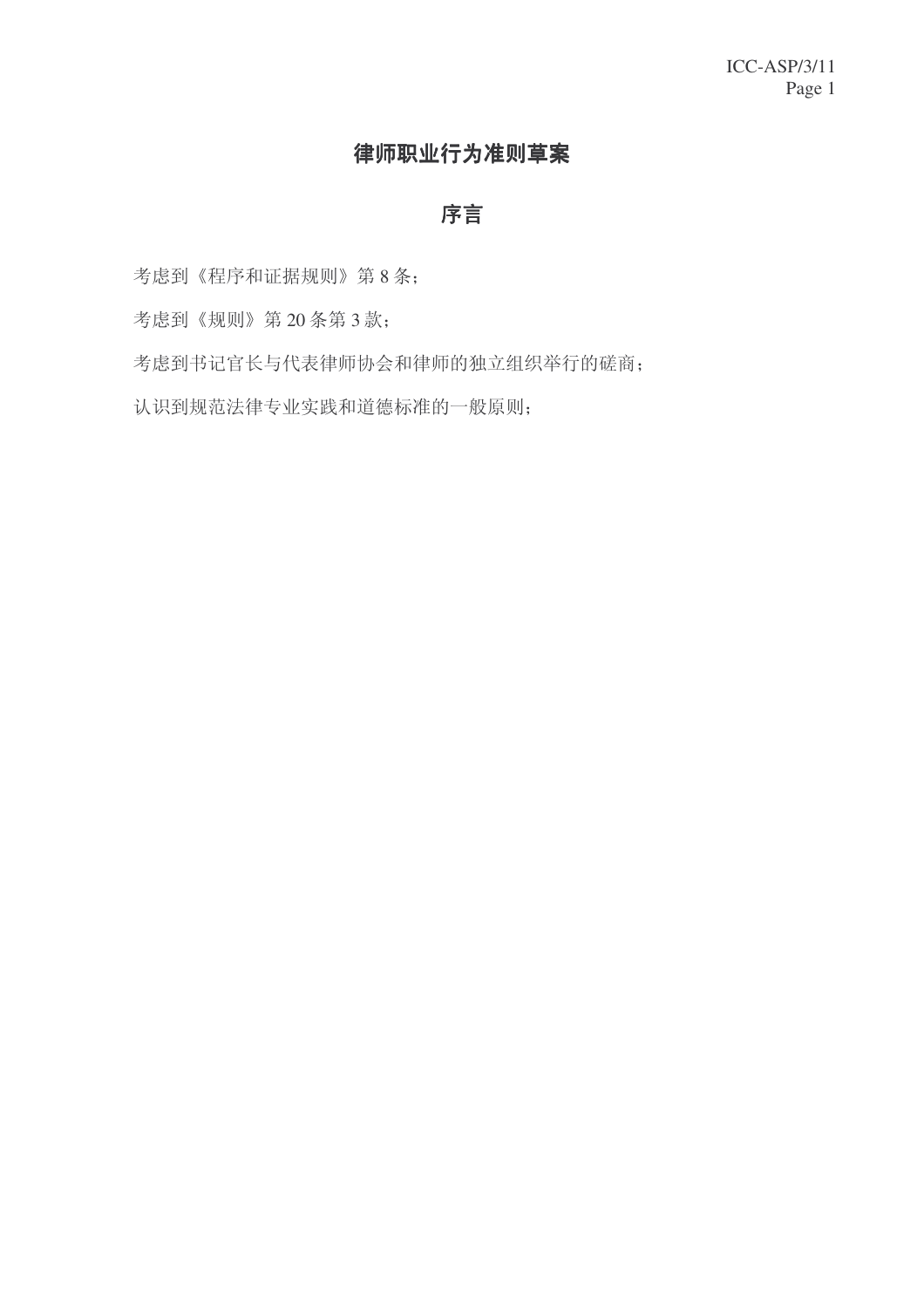# 律师职业行为准则草案

# 序言

考虑到《程序和证据规则》第8条;

考虑到《规则》第20 条第 3 款;

考虑到书记官长与代表律师协会和律师的独立组织举行的磋商;

认识到规范法律专业实践和道德标准的一般原则;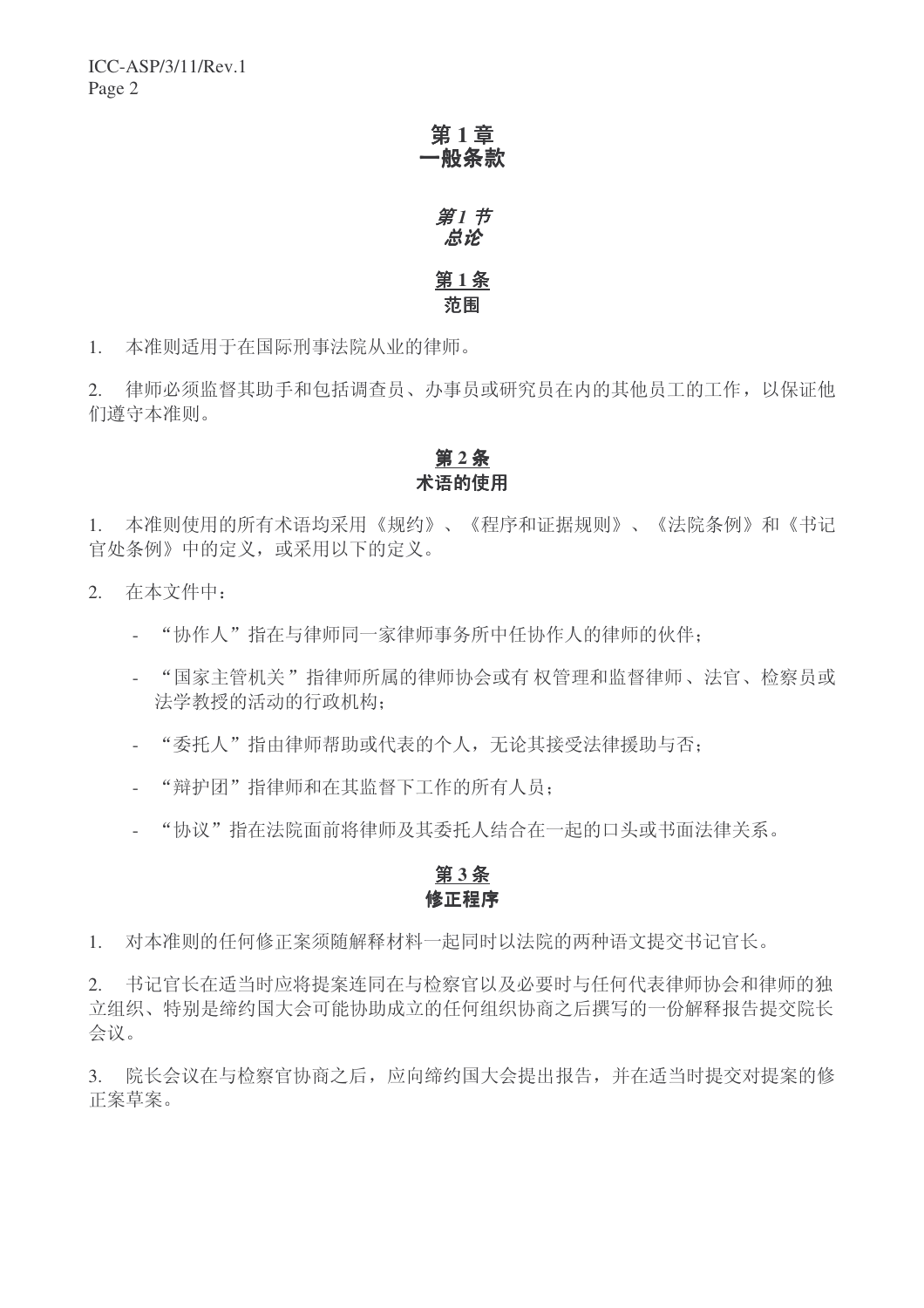第1章 一般条款 第1 节

# 点论 第1条 范围

1. 本准则适用于在国际刑事法院从业的律师。

2. 律师必须监督其助手和包括调查员、办事员或研究员在内的其他员工的工作,以保证他 们遵守本准则。

# 第2条 术语的使用

1. 本准则使用的所有术语均采用《规约》、《程序和证据规则》、《法院条例》和《书记 官处条例》中的定义, 或采用以下的定义。

- 2. 在本文件中:
	- "协作人"指在与律师同一家律师事务所中任协作人的律师的伙伴;
	- "国家主管机关"指律师所属的律师协会或有权管理和监督律师、法官、检察员或 法学教授的活动的行政机构:
	- "委托人"指由律师帮助或代表的个人,无论其接受法律援助与否:
	- "辩护团"指律师和在其监督下工作的所有人员:
	- "协议"指在法院面前将律师及其委托人结合在一起的口头或书面法律关系。

# 第3条 修正程序

1. 对本准则的任何修正案须随解释材料一起同时以法院的两种语文提交书记官长。

2. 书记官长在适当时应将提案连同在与检察官以及必要时与任何代表律师协会和律师的独 立组织、特别是缔约国大会可能协助成立的任何组织协商之后撰写的一份解释报告提交院长 会议。

3. 院长会议在与检察官协商之后, 应向缔约国大会提出报告, 并在适当时提交对提案的修 正案草案。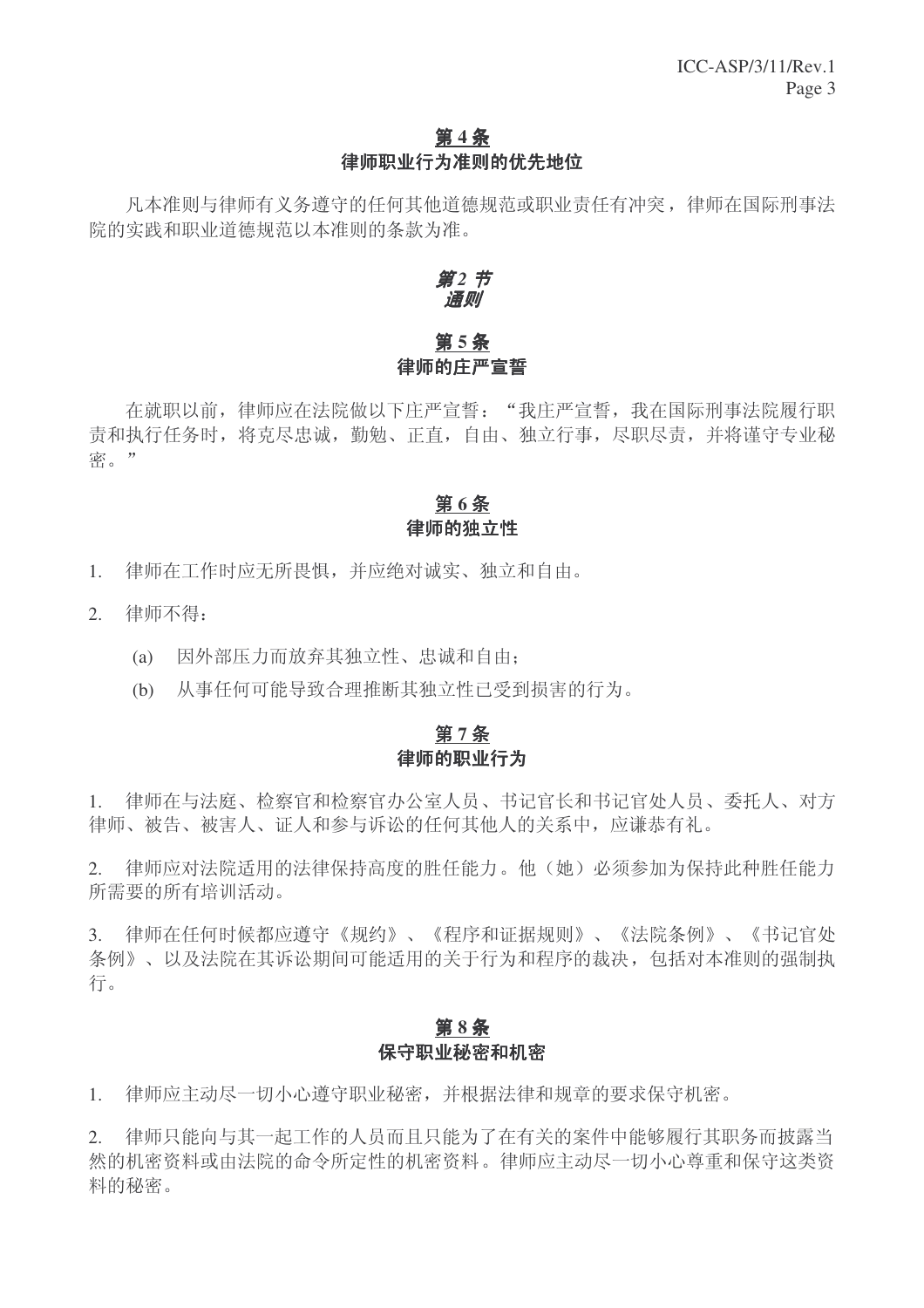## 第4条 律师职业行为准则的优先地位

凡本准则与律师有义务遵守的任何其他道德规范或职业责任有冲突,律师在国际刑事法 院的实践和职业道德规范以本准则的条款为准。

#### 第2节 通则

# 第5条 律师的庄严宣誓

在就职以前, 律师应在法院做以下庄严宣誓: "我庄严宣誓, 我在国际刑事法院履行职 责和执行任务时, 将克尽忠诚, 勤勉、正直, 自由、独立行事, 尽职尽责, 并将谨守专业秘 密。"

# 第6条 律师的独立性

- 1. 律师在工作时应无所畏惧,并应绝对诚实、独立和自由。
- 2. 律师不得:
	- (a) 因外部压力而放弃其独立性、忠诚和自由:
	- (b) 从事任何可能导致合理推断其独立性已受到损害的行为。

## 第7条 律师的职业行为

1. 律师在与法庭、检察官和检察官办公室人员、书记官长和书记官处人员、委托人、对方 律师、被告、被害人、证人和参与诉讼的任何其他人的关系中, 应谦恭有礼。

2. 律师应对法院适用的法律保持高度的胜任能力。他(她)必须参加为保持此种胜任能力 所需要的所有培训活动。

3. 律师在任何时候都应遵守《规约》、《程序和证据规则》、《法院条例》、《书记官处 条例》、以及法院在其诉讼期间可能适用的关于行为和程序的裁决, 包括对本准则的强制执 行。

#### 第8条 保守职业秘密和机密

1. 律师应主动尽一切小心遵守职业秘密,并根据法律和规章的要求保守机密。

2. 律师只能向与其一起工作的人员而且只能为了在有关的案件中能够履行其职务而披露当 然的机密资料还律的机密资料。律师应主动尽一切小心尊重和保守这类资 料的秘密。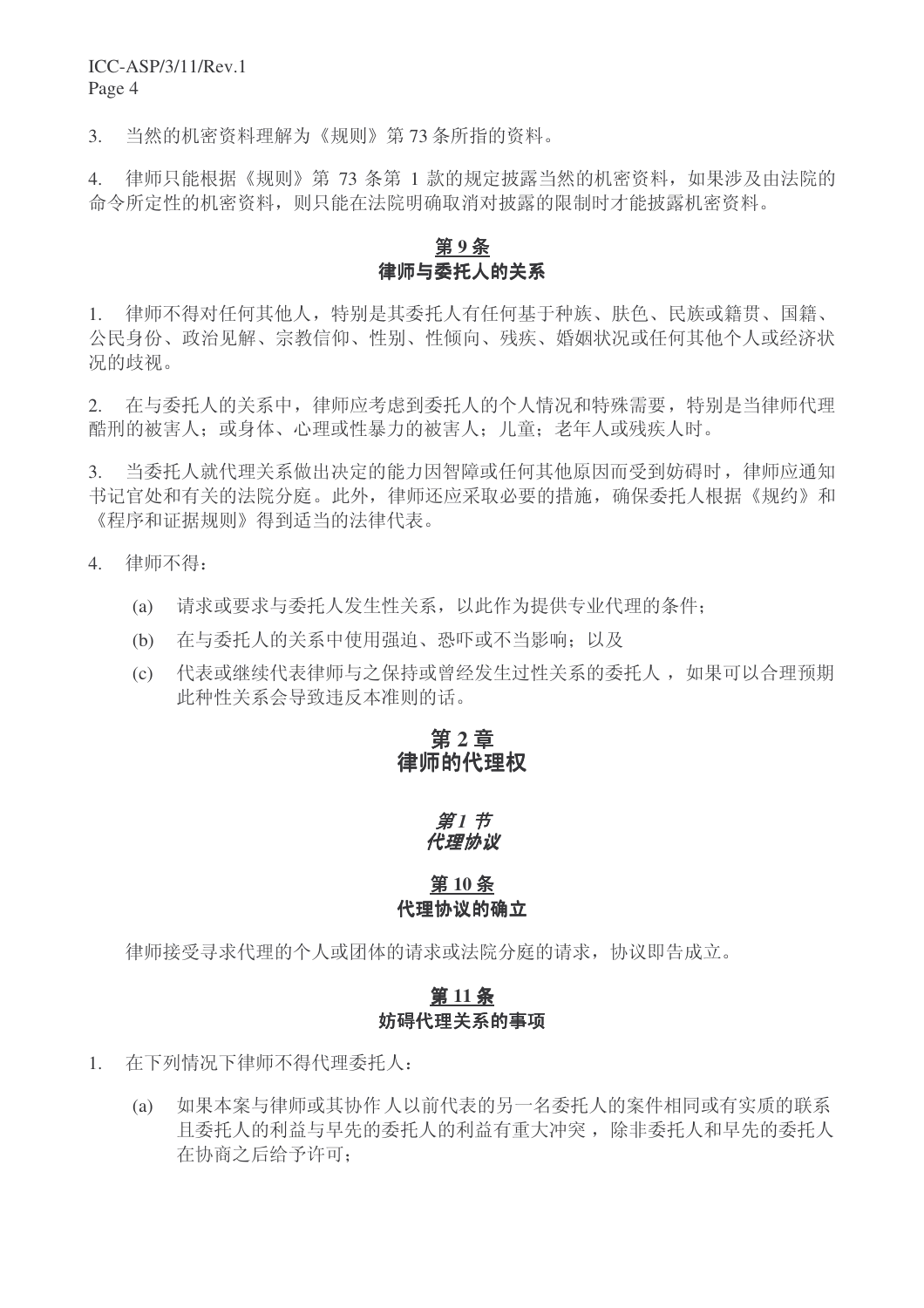3. 当然的机密资料理解为《规则》第73条所指的资料。

4. 律师只能根据《规则》第73 条第 1 款的规定披露当然的机密资料, 如果涉及由法院的 命令所定性的机密资料, 则只能在法院明确取消对披露的限制时才能披露机密资料。

## 第9条 律师与委托人的关系

1. 律师不得对任何其他人,特别是其委托人有任何基于种族、肤色、民族或籍贯、国籍、 公民身份、政治见解、宗教信仰、性别、性倾向、残疾、婚姻状况或任何其他个人或经济状 况的歧视。

2. 在与委托人的关系中, 律师应考虑到委托人的个人情况和特殊需要, 特别是当律师代理 酷刑的被害人: 或身体、心理或性暴力的被害人: 儿童; 老年人或残疾人时。

3. 当委托人就代理关系做出决定的能力因智障或任何其他原因而受到妨碍时,律师应通知 书记官处和有关的法院分庭。此外, 律师还应采取必要的措施, 确保委托人根据《规约》和 《程序和证据规则》得到适当的法律代表。

- 4. 律师不得:
	- (a) 请求或要求与委托人发生性关系, 以此作为提供专业代理的条件:
	- (b) 在与委托人的关系中使用强迫、恐吓或不当影响: 以及
	- (c) 代表或继续代表律师与之保持或曾经发生过性关系的委托人, 如果可以合理预期 此种性关系会导致违反本准则的话。

## 第2章 律师的代理权

#### *第1节* 代理协议

#### 第10条 代理协议的确立

律师接受寻求代理的个人或团体的请求或法院分庭的请求,协议即告成立。

#### 第11条 妨碍代理关系的事项

- 1. 在下列情况下律师不得代理委托人:
	- (a) 如果本案与律师或其协作人以前代表的另一名委托人的案件相同或有实质的联系 且委托人的利益有重大冲突, 除非委托人和早先的委托人 在协商之后给予许可: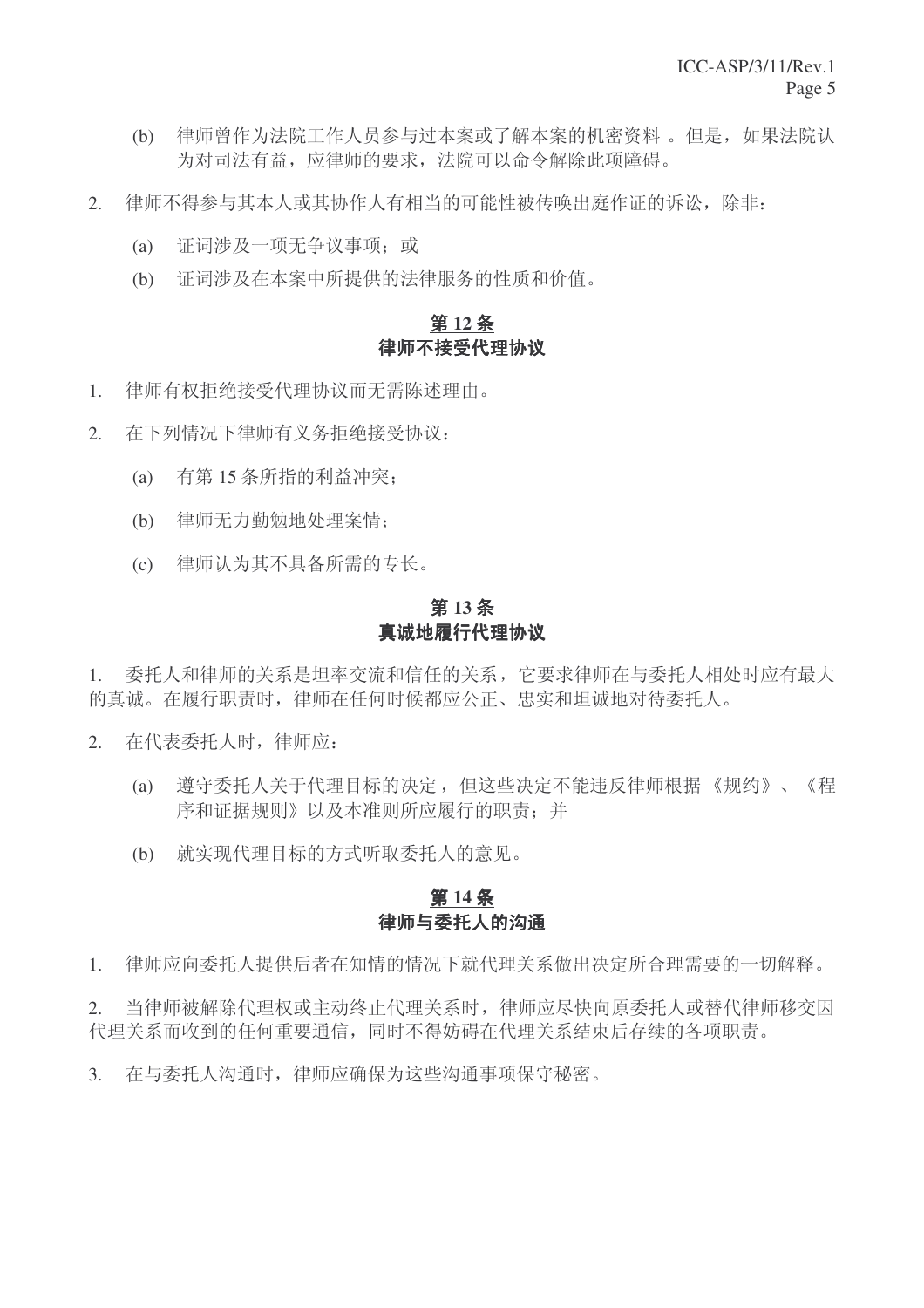- (b) 律师曾作为法院工作人员参与过本案或了解本案的机密资料。但是, 如果法院认 为对司法有益, 应律师的要求, 法院可以命令解除此项障碍。
- 2. 律师不得参与其本人或其协作人有相当的可能性被传唤出庭作证的诉讼,除非:
	- (a) 证词涉及一项无争议事项; 或
	- (b) 证词涉及在本案中所提供的法律服务的性质和价值。

#### 第12条 律师不接受代理协议

- 1. 律师有权拒绝接受代理协议而无需陈述理由。
- 2. 在下列情况下律师有义务拒绝接受协议:
	- (a) 有第15条所指的利益冲突:
	- (b) 律师无力勤勉地处理案情:
	- (c) 律师认为其不具备所需的专长。

#### 第13条 真诚地履行代理协议

1. 委托人和律师的关系是坦率交流和信任的关系, 它要求律师在与委托人相处时应有最大 的真诚。在履行职责时, 律师在任何时候都应公正、忠实和坦诚地对待委托人。

- 2. 在代表委托人时,律师应:
	- (a) 遵守委托人关于代理目标的决定, 但这些决定不能违反律师根据《规约》、《程 序和证据规则》以及本准则所应履行的职责:并
	- (b) 就实现代理目标的方式听取委托人的意见。

# 第14条 律师与委托人的沟通

1. 律师应向委托人提供后者在知情的情况下就代理关系做出决定所合理需要的一切解释。

2. 当律师被解除代理权或主动终止代理关系时, 律师应尽快向原委托人或替代律师移交因 代理关系而收到的任何重要通信,同时不得妨碍在代理关系结束后存续的各项职责。

3. 在与委托人沟通时, 律师应确保为这些沟通事项保守秘密。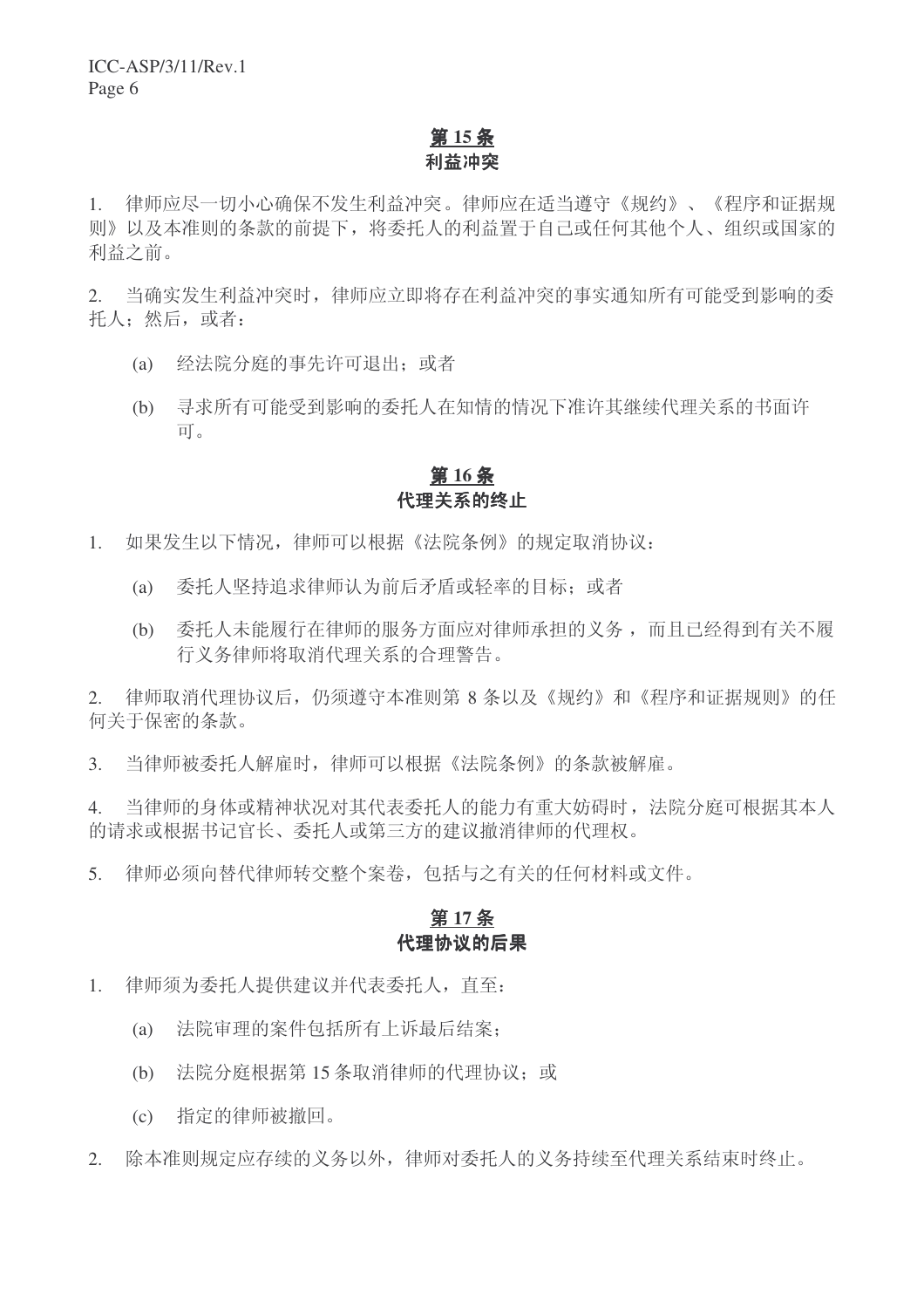# 第15条 利益冲突

1. 律师应尽一切小心确保不发生利益冲突。律师应在适当遵守《规约》、《程序和证据规 则》以及本准则的条款的前提下, 将委托人的利益置于自己或任何其他个人、组织或国家的 利益之前。

2. 当确实发生利益冲突时, 律师应立即将存在利益冲突的事实通知所有可能受到影响的委 托人: 然后, 或者:

- (a) 经法院分庭的事先许可退出; 或者
- (b) 寻求所有可能受到影响的委托人在知情的情况下准许其继续代理关系的书面许  $\overline{\Pi}$

#### 第16条 代理关系的终止

- 1. 如果发生以下情况, 律师可以根据《法院条例》的规定取消协议:
	- (a) 委托人坚持追求律师认为前后矛盾或轻率的目标; 或者
	- (b) 委托人未能履行在律师的服务方面应对律师承担的义务,而且已经得到有关不履 行义务律师将取消代理关系的合理警告。

2. 律师取消代理协议后, 仍须遵守本准则第 8 条以及《规约》和《程序和证据规则》的任 何关于保密的条款。

3. 当律师被委托人解雇时, 律师可以根据《法院条例》的条款被解雇。

4. 当律师的身体或精神状况对其代表委托人的能力有重大妨碍时, 法院分庭可根据其本人 的请求或根据书记官长、委托人或第三方的建议撤消律师的代理权。

5. 律师必须向替代律师转交整个案卷,包括与之有关的任何材料或文件。

#### 第17条 代理协议的后果

- 1. 律师须为委托人提供建议并代表委托人, 直至:
	- (a) 法院审理的案件包括所有上诉最后结案:
	- (b) 法院分庭根据第15 条取消律师的代理协议; 或
	- (c) 指定的律师被撤回。
- 2. 除本准则规定应存续的义务以外,律师对委托人的义务持续至代理关系结束时终止。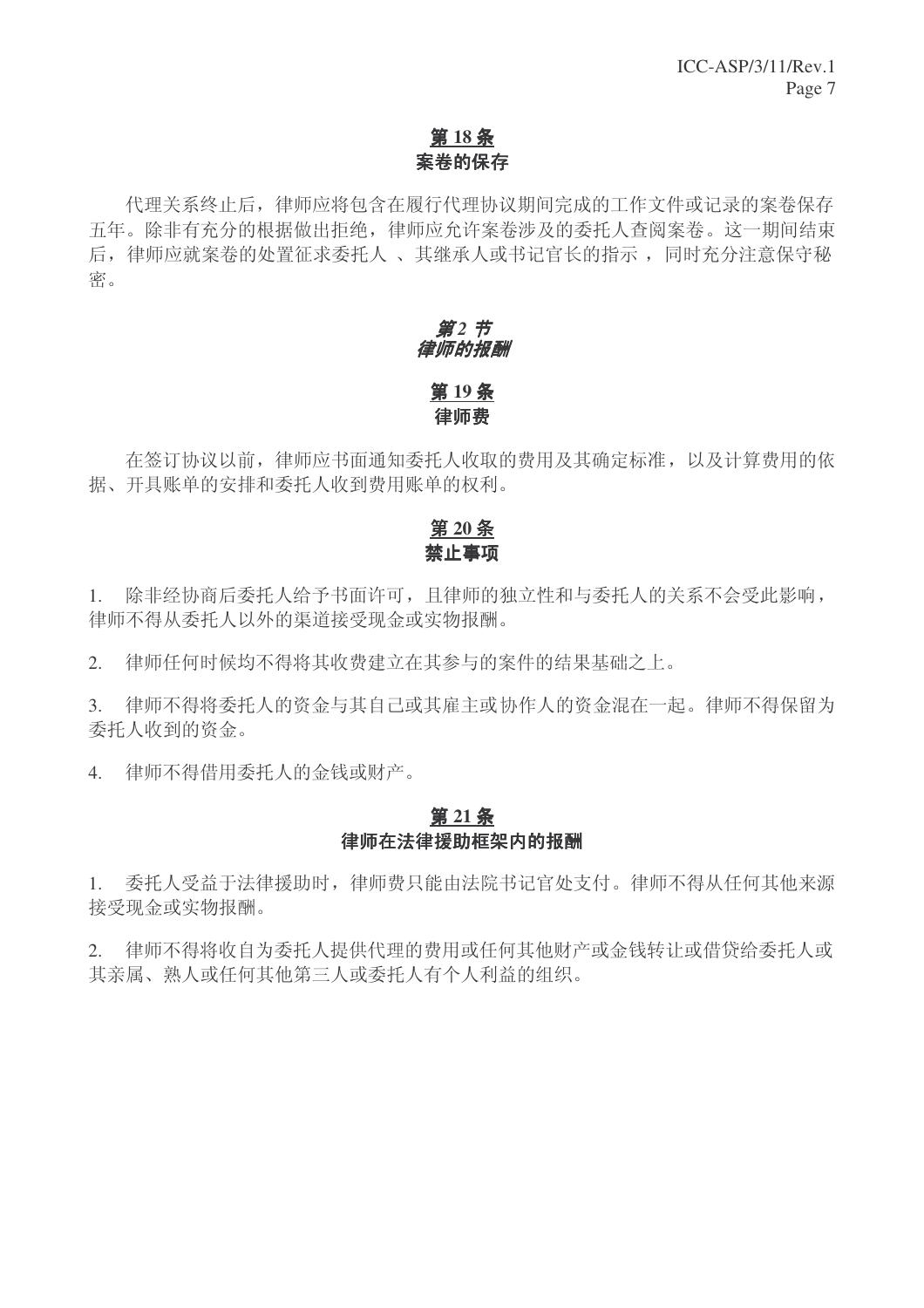# 第18条 案卷的保存

代理关系终止后, 律师应将包含在履行代理协议期间完成的工作文件或记录的案卷保存 五年。除非有充分的根据做出拒绝,律师应允许案卷涉及的委托人杳阅案卷。这一期间结束 后, 律师应就案卷的处置征求委托人、其继承人或书记官长的指示, 同时充分注意保守秘 密。

# 第2节 律师的报酬 第19条 律师费

在签订协议以前, 律师应书面通知委托人收取的费用及其确定标准, 以及计算费用的依 据、开具账单的安排和委托人收到费用账单的权利。

# 第20条 禁止事项

1. 除非经协商后委托人给予书面许可,且律师的独立性和与委托人的关系不会受此影响, 律师不得从委托人以外的渠道接受现金或实物报酬。

2. 律师任何时候均不得将其收费建立在其参与的案件的结果基础之上。

3. 律师不得将委托人的资金与其自己或其雇主或协作人的资金混在一起。律师不得保留为 委托人收到的资金。

4. 律师不得借用委托人的金钱或财产。

## 第21条 律师在法律援助框架内的报酬

1. 委托人受益于法律援助时,律师费只能由法院书记官处支付。律师不得从任何其他来源 接受现金或实物报酬。

2. 律师不得将收自为委托人提供代理的费用或任何其他财产或金钱转让或借贷给委托人或 其亲属、熟人或任何其他第三人或委托人有个人利益的组织。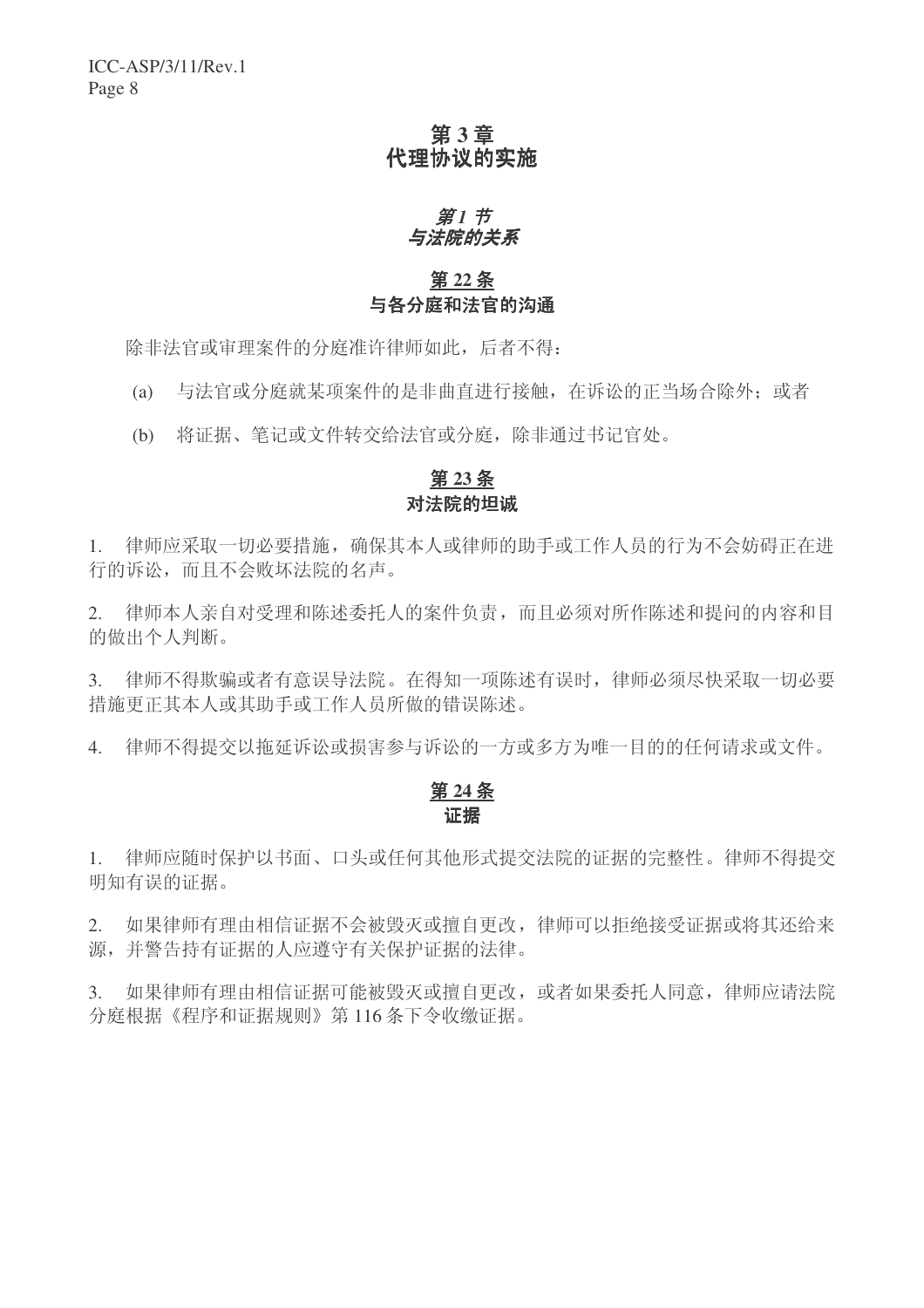# 第3章 代理协议的实施

#### 第1 节 与法院的关系

# 第22条 与各分庭和法官的沟通

除非法官或审理案件的分庭准许律师如此,后者不得:

(a) 与法官或分庭就某项案件的是非曲直进行接触, 在诉讼的正当场合除外: 或者

(b) 将证据、笔记或文件转交给法官或分庭, 除非通过书记官处。

#### 第 23 条 对法院的坦诚

1. 律师应采取一切必要措施,确保其本人或律师的助手或工作人员的行为不会妨碍正在讲 行的诉讼,而且不会败坏法院的名声。

2. 律师本人亲自对受理和陈述委托人的案件负责,而且必须对所作陈述和提问的内容和目 的做出个人判断。

3. 律师不得欺骗或者有意误导法院。在得知一项陈述有误时,律师必须尽快采取一切必要 措施更正其本人或其助手或工作人员所做的错误陈述。

4. 律师不得提交以拖延诉讼或损害参与诉讼的一方或多方为唯一目的的任何请求或文件。

# 第24条 证据

1. 律师应随时保护以书面、口头或任何其他形式提交法院的证据的完整性。律师不得提交 明知有误的证据。

2. 如果律师有理由相信证据不会被毁灭或擅自更改,律师可以拒绝接受证据或将其还给来 源,并警告持有证据的人应遵守有关保护证据的法律。

3. 如果律师有理由相信证据可能被毁灭或擅自更改,或者如果委托人同意,律师应请法院 分庭根据《程序和证据规则》第116条下令收缴证据。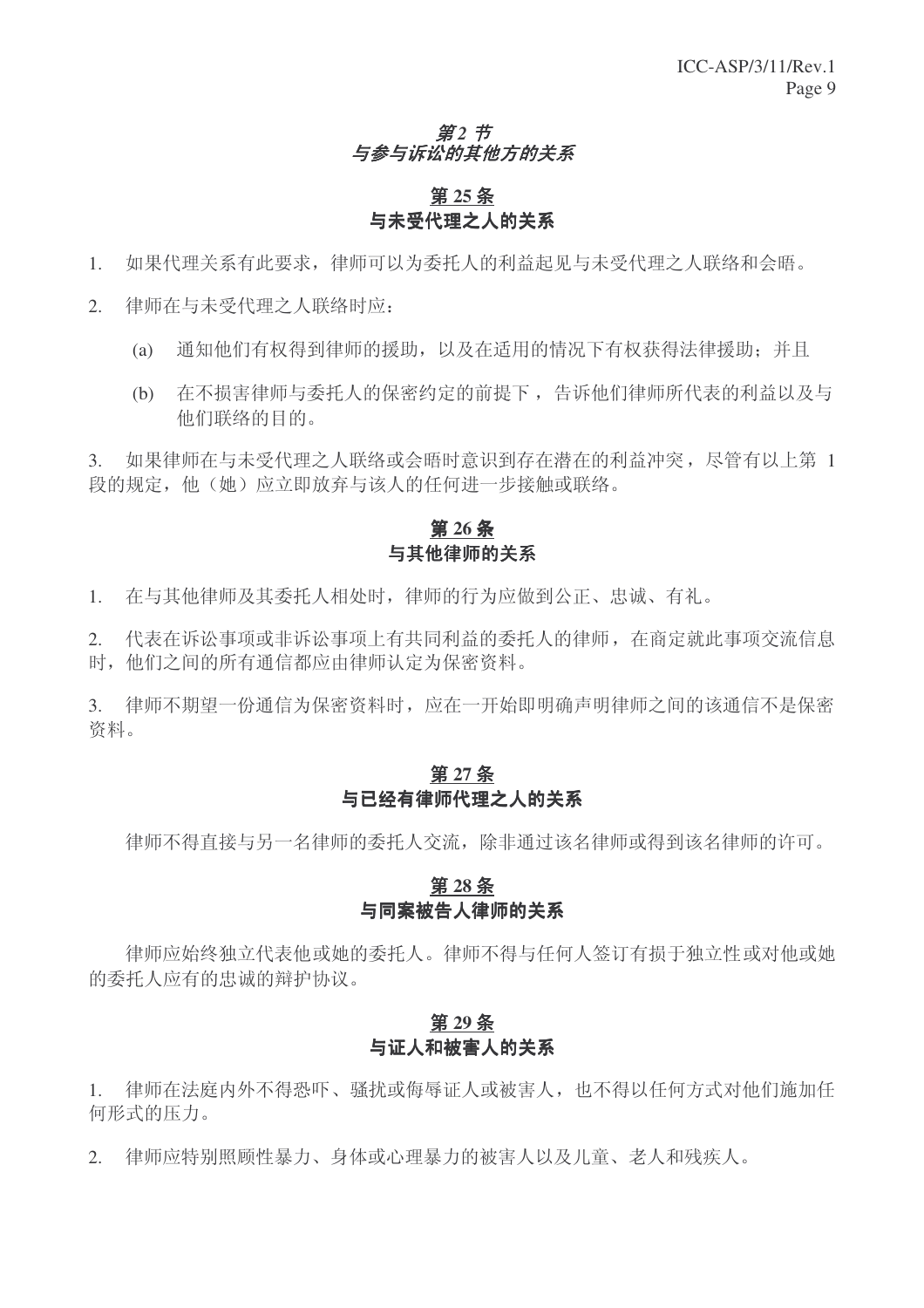#### 第2 节 与参与诉讼的其他方的关系

# 第25条 与未受代理之人的关系

- 1. 如果代理关系有此要求,律师可以为委托人的利益起见与未受代理之人联络和会晤。
- 2. 律师在与未受代理之人联络时应:
	- (a) 通知他们有权得到律师的援助, 以及在适用的情况下有权获得法律援助: 并且
	- (b) 存不损害律师与委托人的保密约定的前提下, 告诉他们律师所代表的利益以及与 他们联络的目的。

3. 如果律师在与未受代理之人联络或会晤时意识到存在潜在的利益冲突, 尽管有以上第 1 段的规定, 他(她) 应立即放弃与该人的任何讲一步接触或联络。

## 第26条 与其他律师的关系

1. 在与其他律师及其委托人相处时,律师的行为应做到公正、忠诚、有礼。

2. 代表在诉讼事项非诉讼事项上有共同利益的委托人的律师, 在商定就此事项交流信息 时, 他们之间的所有通信都应由律师认定为保密资料。

3. 律师不期望一份通信为保密资料时,应在一开始即明确声明律师之间的该通信不是保密 资料。

#### 第27条 与已经有律师代理之人的关系

律师不得直接与另一名律师的委托人交流,除非通过该名律师或得到该名律师的许可。

# 第28条 与同案被告人律师的关系

律师应始终独立代表他或她的委托人。律师不得与任何人签订有损于独立性或对他或她 的委托人应有的忠诚的辩护协议。

## 第29条 与证人和被害人的关系

1. 律师在法庭内外不得恐吓、骚扰或侮辱证人或被害人,也不得以任何方式对他们施加任 何形式的压力。

2. 律师应特别照顾性暴力、身体或心理暴力的被害人以及儿童、老人和残疾人。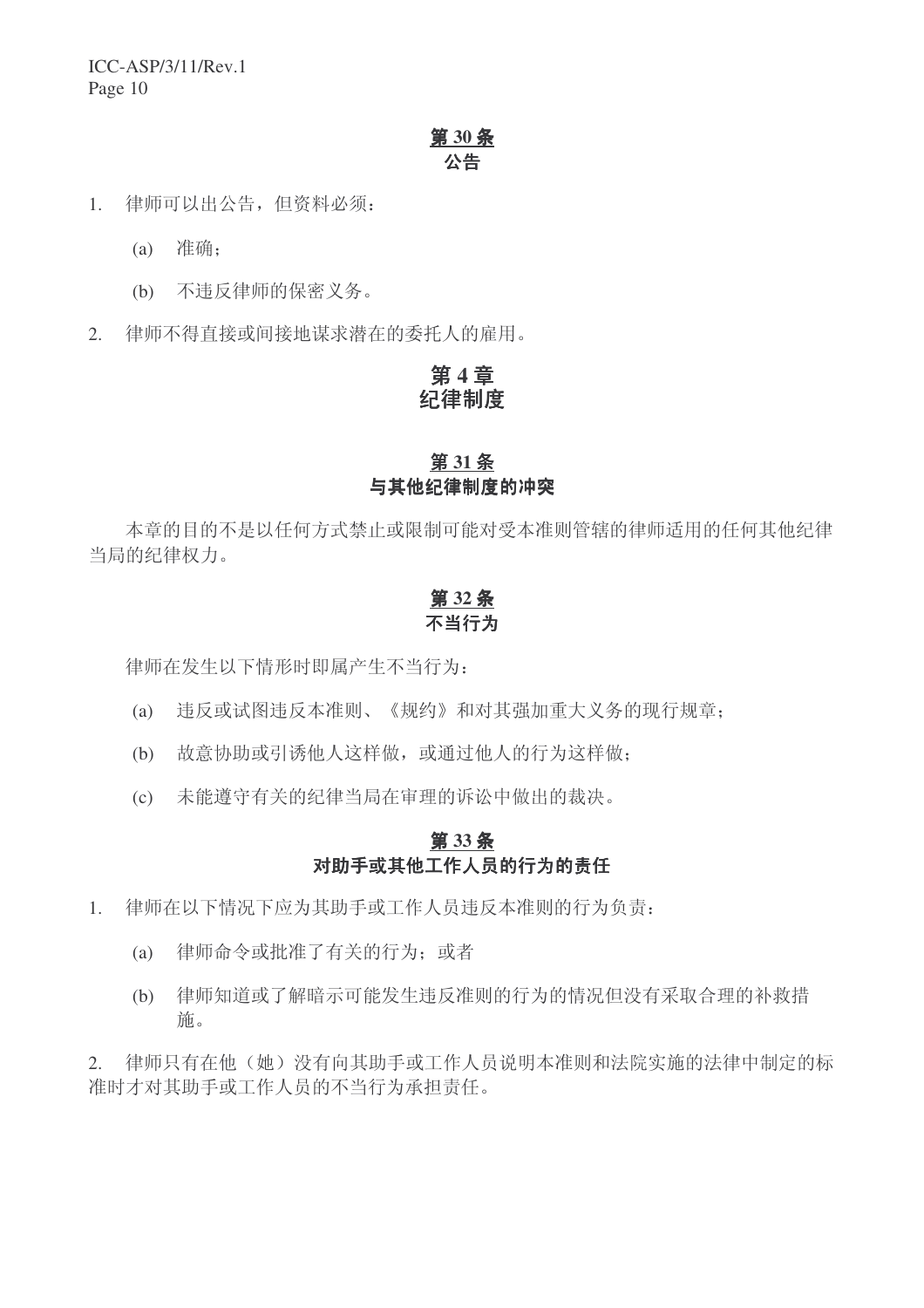# **30** ᴵ 公告

- 1. 律师可以出公告, 但资料必须:
	- (a) 准确:
	- (b) 不讳反律师的保密义务。
- 2. 律师不得直接或间接地谋求潜在的委托人的雇用。

# 第4章 纪律制度

# **31** ᴵ 与其他纪律制度的冲突

本章的目的不是以任何方式禁止或限制可能对受本准则管辖的律师适用的任何其他纪律 当局的纪律权力。

#### 第32条 不当行为

律师在发生以下情形时即属产生不当行为:

- (a) 讳反或试图讳反本准则、《规约》和对其强加重大义务的现行规章:
- (b) 故意协助或引诱他人这样做, 或通过他人的行为这样做;
- (c) 未能遵守有关的纪律当局在审理的诉讼中做出的裁决。

#### 第33条 对助手或其他工作人员的行为的责任

- 1. 律师在以下情况下应为其助手或工作人员违反本准则的行为负责:
	- (a) 律师命令或批准了有关的行为; 或者
	- (b) 律师知道或了解暗示可能发生讳反准则的行为的情况但没有采取合理的补救措 施。

2. 律师只有在他(她)没有向其助手或工作人员说明本准则和法院实施的法律中制定的标 准时才对其助手或工作人员的不当行为承担责任。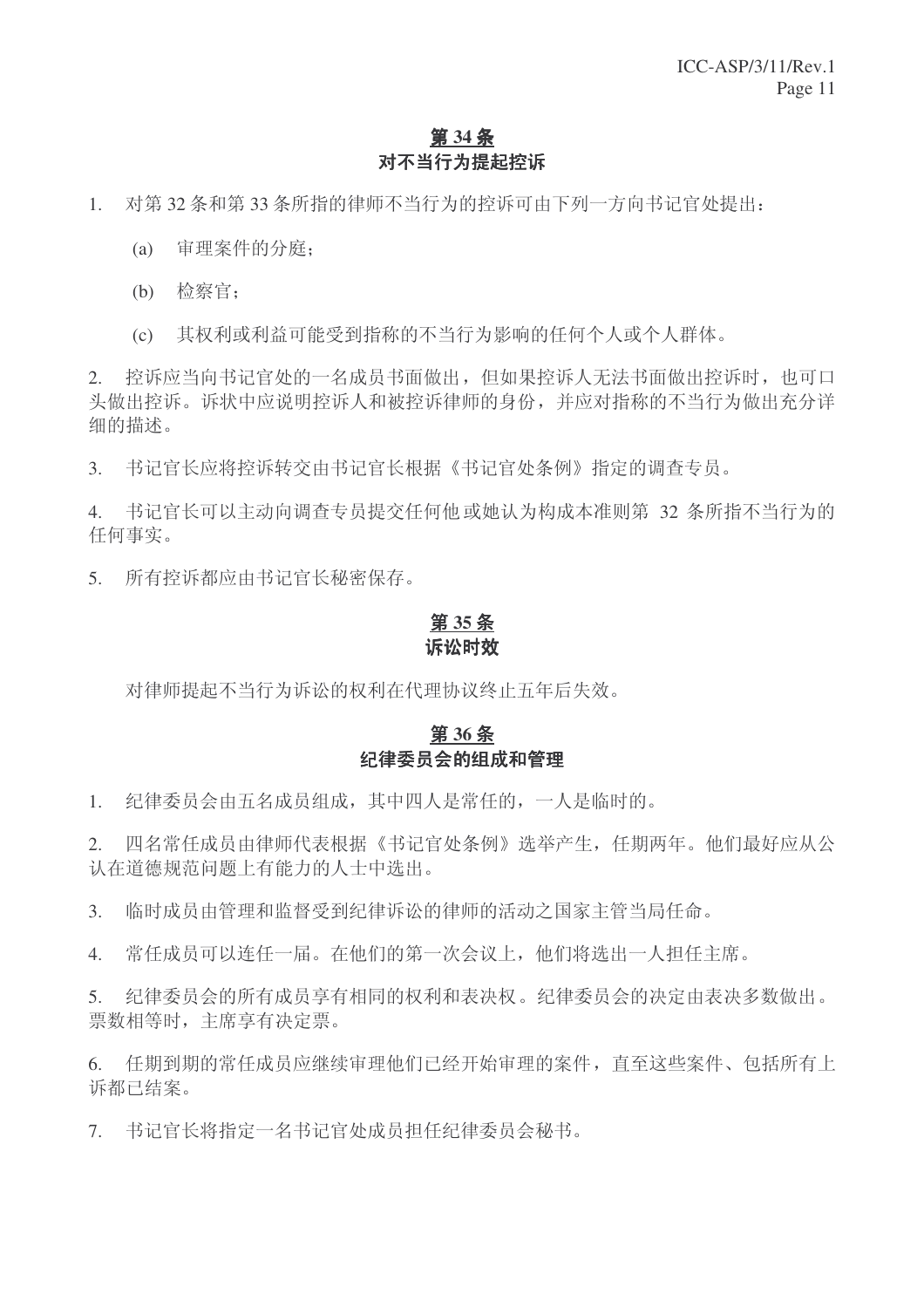# 第 34 条 对不当行为提起控诉

1. 对第 32 条和第 33 条所指的律师不当行为的控诉可由下列一方向书记官处提出:

- (a) 审理案件的分庭:
- (b) 检察官:
- (c) 其权利或利益可能受到指称的不当行为影响的任何个人或个人群体。

2. 控诉应当向书记官处的一名成员书面做出,但如果控诉人无法书面做出控诉时,也可口 头做出控诉。诉状中应说明控诉人和被控诉律师的身份,并应对指称的不当行为做出充分详 细的描述。

3. 书记官长应将控诉转交由书记官长根据《书记官处条例》指定的调查专员。

4. 书记官长可以主动向调查专员提交任何他或她认为构成本准则第 32 条所指不当行为的 任何事实。

5. 所有控诉都应由书记官长秘密保存。

## 第35条 诉讼时效

对律师提起不当行为诉讼的权利在代理协议终止五年后失效。

# 第36条 纪律委员会的组成和管理

1. 纪律委员会由五名成员组成, 其中四人是常任的, 一人是临时的。

2. 四名常任成员由律师代表根据《书记官处条例》选举产生,任期两年。他们最好应从公 认在道德规范问题上有能力的人士中选出。

3. 临时成员由管理和监督受到纪律诉讼的律师的活动之国家主管当局任命。

4. 常任成员可以连任一届。在他们的第一次会议上,他们将选出一人担任主席。

5. 纪律委员会的所有成员享有相同的权利和表决权。纪律委员会的决定由表决多数做出。 票数相等时, 主席享有决定票。

6. 任期到期的常任成员应继续审理他们已经开始审理的案件, 直至这些案件、包括所有上 诉都已结案。

7. 书记官长将指定一名书记官处成员担任纪律委员会秘书。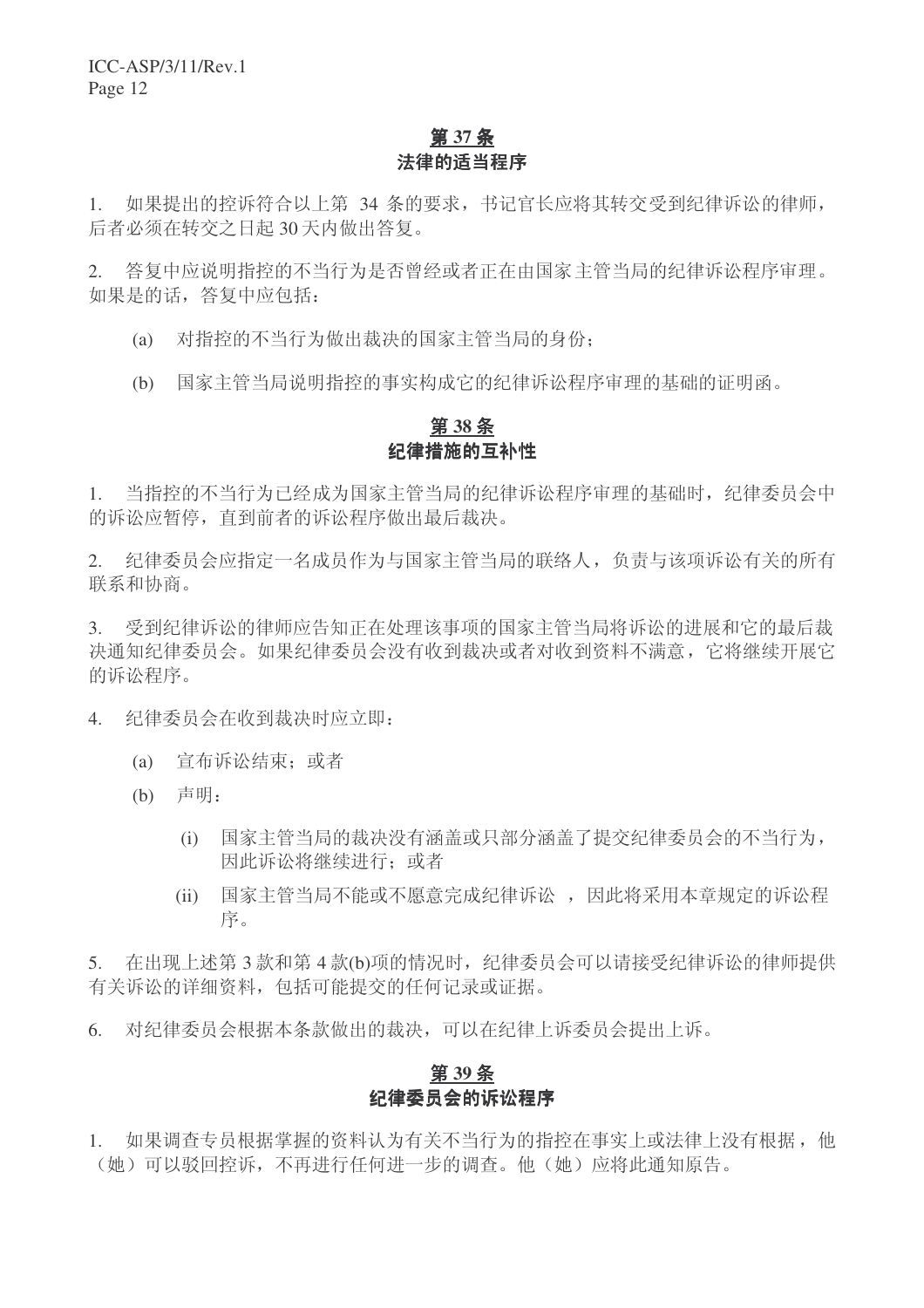# 第 37 条 法律的适当程序

1. 如果提出的控诉符合以上第 34 条的要求, 书记官长应将其转交受到纪律诉讼的律师, 后者必须在转交之日起 30 天内做出答复。

2. 答复中应说明指控的不当行为是否曾经或者正在由国家主管当局的纪律诉讼程序审理。 如果是的话,答复中应包括:

- (a) 对指控的不当行为做出裁决的国家主管当局的身份:
- (b) 国家主管当局说明指控的事实构成它的纪律诉讼程序审理的基础的证明函。

#### **38** ᴵ 纪律措施的互补性

1. 当指控的不当行为已经成为国家主管当局的纪律诉讼程序审理的基础时,纪律委员会中 的诉讼应暂停, 直到前者的诉讼程序做出最后裁决。

2. 纪律委员会应指定一名成员作为与国家主管当局的联络人,负责与该项诉讼有关的所有 联系和协商。

3. 受到纪律诉讼的律师应告知正在处理该事项的国家主管当局将诉讼的进展和它的最后裁 决通知纪律委员会没有收到裁决或者对收到资料不满意,它将继续开展它 的诉讼程序。

4. 纪律委员会在收到裁决时应立即:

- (a) 宣布诉讼结束: 或者
- $(b)$  声明:
	- (i) 国家主管当局的裁决没有涵盖或只部分涵盖了提交纪律委员会的不当行为, 因此诉讼将继续讲行: 或者
	- (ii) 国家主管当局不能或不愿意完成纪律诉讼, 因此将采用本章规定的诉讼程 序。

5. 在出现上述第3款和第4款(b)项的情况时,纪律委员会可以请接受纪律诉讼的律师提供 有关诉讼的详细资料,包括可能提交的任何记录或证据。

6. 对纪律委员会根据本条款做出的裁决,可以在纪律上诉委员会提出上诉。

#### 第 39 条 纪律委员会的诉讼程序

1. 如果调查专员根据掌握的资料认为有关不当行为的指控在事实上或法律上没有根据,他 (她)可以驳回控诉,不再进行任何进一步的调查。他(她)应将此通知原告。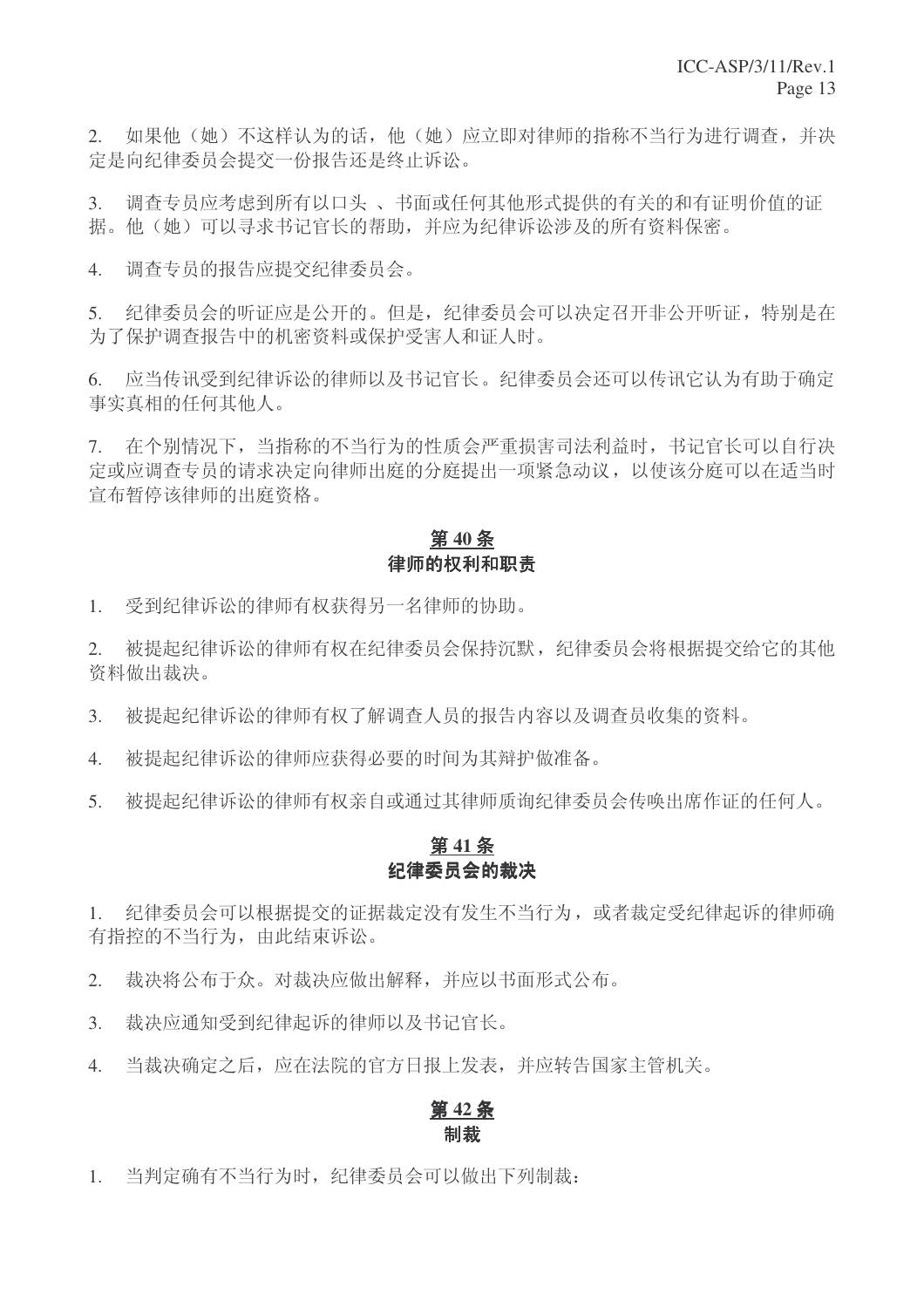2. 如果他(她)不这样认为的话,他(她)应立即对律师的指称不当行为讲行调杳,并决 定是向纪律委员会提交一份报告还是终止诉讼。

3. 调查专员应考虑到所有以口头、书面或任何其他形式提供的有关的和有证明价值的证 据。他(她)可以寻求书记官长的帮助,并应为纪律诉讼涉及的所有资料保密。

4. 调杳专员的报告应提交纪律委员会。

5. 纪律委员会的听证应是公开的。但是,纪律委员会可以决定召开非公开听证,特别是在 为了保护调查报告中的机密资料或保护受害人和证人时。

6. 应当传讯受到纪律诉讼的律师以及书记官长。纪律委员会还可以传讯它认为有助于确定 事实真相的任何其他人。

7. 在个别情况下,当指称的不当行为的性质会严重损害司法利益时,书记官长可以自行决 定或应调查专员的请求决定向律师出庭的分庭提出一项紧急动议,以使该分庭可以在适当时 宣布暂停该律师的出庭资格。

# 第40条 律师的权利和职责

1. 受到纪律诉讼的律师有权获得另一名律师的协助。

2. 被提起纪律诉讼的律师有权在纪律委员会保持沉默,纪律委员会将根据提交给它的其他 资料做出裁决。

3. 被提起纪律诉讼的律师有权了解调查人员的报告内容以及调查员收集的资料。

4. 被提起纪律诉讼的律师应获得必要的时间为其辩护做准备。

5. 被提起纪律诉讼的律师有权亲自或通过其律师质询纪律委员会传唤出席作证的任何人。

## 第41条 纪律委员会的裁决

1. 纪律委员会可以根据提交的证据裁定没有发生不当行为, 或者裁定受纪律起诉的律师确 有指控的不当行为, 由此结束诉讼。

2. 裁决将公布于众。对裁决应做出解释,并应以书面形式公布。

3. 裁决应通知受到纪律起诉的律师以及书记官长。

4. 当裁决确定之后, 应在法院的官方日报上发表, 并应转告国家主管机关。

#### 第42条 制裁

1. 当判定确有不当行为时,纪律委员会可以做出下列制裁: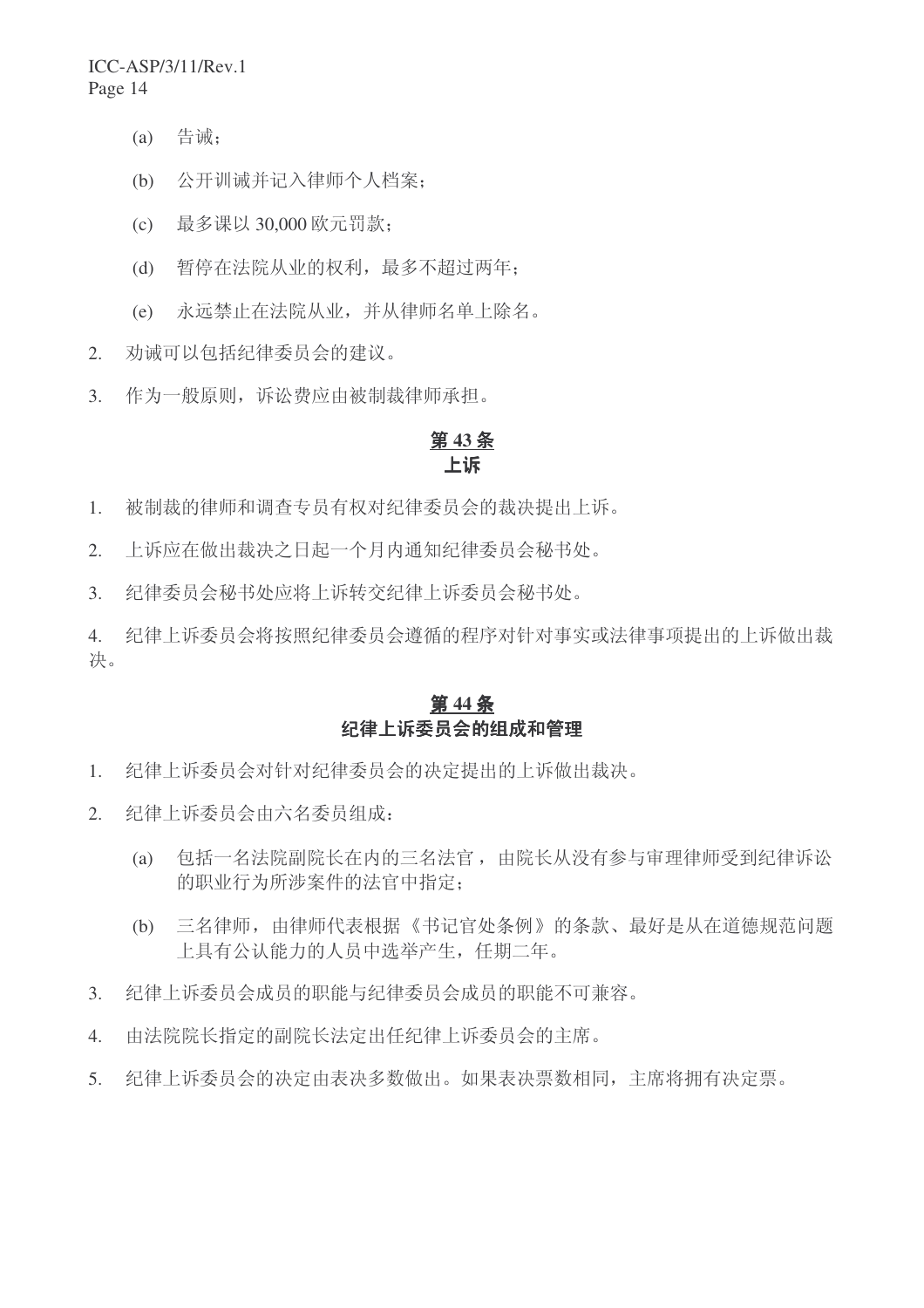- $(a)$  告诫:
- (b) 公开训诫并记入律师个人档案:
- (c) 最多课以 30,000 欧元罚款;
- (d) 暂停在法院从业的权利, 最多不超过两年:
- (e) 永远禁止在法院从业,并从律师名单上除名。
- 2. 劝诫可以包括纪律委员会的建议。
- 3. 作为一般原则,诉讼费应由被制裁律师承担。

## 第43条 卜诉

- 1. 被制裁的律师和调查专员有权对纪律委员会的裁决提出上诉。
- 2. 上诉应在做出裁决之日起一个月内通知纪律委员会秘书处。
- 3. 纪律委员会秘书处应将上诉转交纪律上诉委员会秘书处。
- 4. 纪律上诉委员会将按照纪律委员会遵循的程序对针对事实或法律事项提出的上诉做出裁 决。

## **第44条** 纪律上诉委员会的组成和管理

- 1. 纪律上诉委员会对针对纪律委员会的决定提出的上诉做出裁决。
- 2. 纪律上诉委员会由六名委员组成:
	- (a) 包括一名法院副院长在内的三名法官,由院长从没有参与审理律师受到纪律诉讼 的职业行为所涉案件的法官中指定:
	- (b) 三名律师, 由律师代表根据《书记官处条例》的条款、最好是从在道德规范问题 上具有公认能力的人员中选举产生, 任期二年。
- 3. 纪律上诉委员会成员的职能与纪律委员会成员的职能不可兼容。
- 4. 由法院院长指定的副院长法定出任纪律上诉委员会的主席。
- 5. 纪律上诉委员会的决定由表决多数做出。如果表决票数相同,主席将拥有决定票。